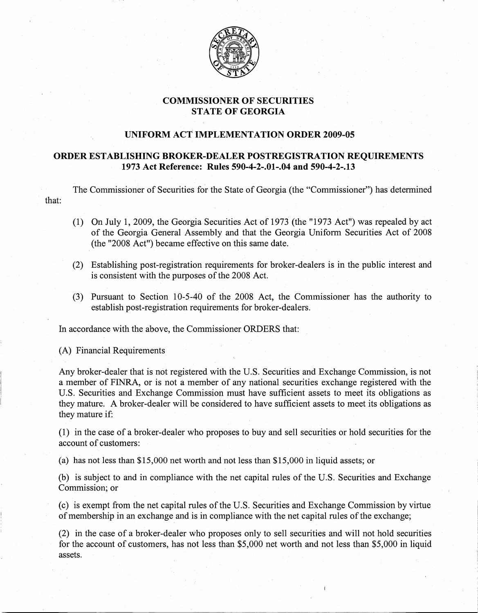

# **COMMISSIONER OF SECURITIES** STATE OF **GEORGIA**

# **UNIFORM** ACTIMPLEMENTATION **ORDER 2009-05**

## **ORDER ESTABLISHING BROKER-DEALER POSTREGISTRATION REQUIREMENTS 1973 Act Reference: Rules 590-4-2-.01-.04 and 590-4-2-.13**

The Commissioner of Securities for the State of Georgia (the "Commissioner") has determined that:

- (1) On July 1,2009, the Georgia Securities Act of 1973 (the "1973 Act"} was repealed by act of the Georgia General Assembly and that the Georgia Uniform Securities Act of 2008 (the "2008 Act") became effective on this same date.
- (2) Establishing post-registration requirements for broker-dealers is in the public interest and is consistent with the purposes of the 2008 Act.
- (3) Pursuant to Section 10-5-40 of the 2008 Act, the Commissioner has the authority to establish post-registration requirements for broker-dealers.

In accordance with the above, the Commissioner ORDERS that:

(A) Financial Requirements

Any broker-dealer that is not registered with the U.S. Securities and Exchange Commission, is not a member of FINRA, or is not a member of any national securities exchange registered with the U.S. Securities and Exchange Commission must have sufficient assets to meet its obligations as they mature. A broker-dealer will be considered to have sufficient assets to meet its obligations as they mature if;

(1) in the case of a broker-dealer who proposes to buy and sell securities or hold securities for the account of customers:

(a) has not less than \$15,000 net worth and not less than \$15,000 in liquid assets; or

(b) is subject to and in compliance with the net capital rules of the U.S. Securities and Exchange Commission; or

(c) is exempt from the net capital rules of the U.S. Securities and Exchange Commission by virtue of membership in an exchange and is in compliance with the net capital rules of the exchange;

(2) in the case of a broker-dealer who proposes only to sell securities and will not hold securities for the account of customers, has not less than \$5,000 net worth and not less than \$5,000 in liquid assets.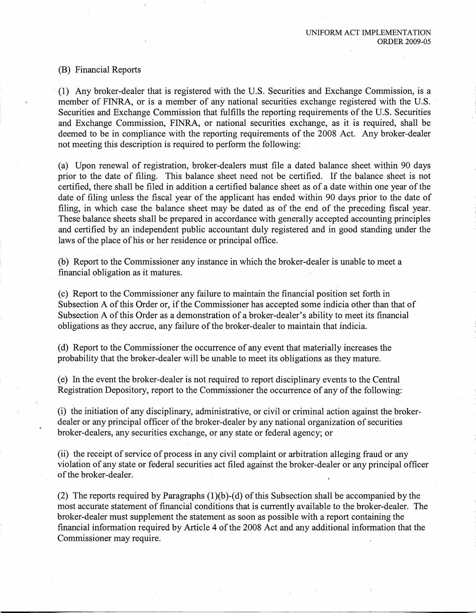### (B) Financial Reports

(1) Any broker-dealer that is registered with the U.S. Securities and Exchange Commission, is a member of FINRA, or is a member of any national securities exchange registered with the U.S. Securities and Exchange Commission that fulfills the reporting requirements of the U.S. Securities and Exchange Commission, FINRA, or national securities exchange, as it is required, shall be deemed to be in compliance with the reporting requirements of the 2008 Act. Any broker-dealer not meeting this description is required to perform the following:

(a) Upon renewal of registration, broker~dealers must file a dated balance sheet within 90 days prior to the date of filing. This balance sheet need not be certified. If the balance sheet is not certified, there shall be filed in addition a certified balance sheet as of a date within one year of the date of filing unless the fiscal year of the applicant has ended within 90 days prior to the date of filing, in which case the balance sheet may be dated as of the end of the preceding fiscal year. These balance sheets shall be prepared in accordance with generally accepted accounting principles and certified by an independent public accountant duly registered and in good standing under the laws of the place of his or her residence or principal office.

(b) Report to the Commissioner any instance in which the broker-dealer is unable to meet a financial obligation as it matures.

(c) Report to the Commissioner any failure to maintain the financial position set forth in Subsection A of this Order or, if the Commissioner has accepted some indicia other than that of Subsection A of this Order as a demonstration of a broker-dealer's ability to meet its financial obligations as they accrue, any failure of the broker-dealer to maintain that indicia.

(d) Report to the Commissioner the occurrence of any event that materially increases the probability that the broker-dealer will be unable to meet its obligations as they mature.

(e) In the event the broker-dealer is not required to report disciplinary events to the Central Registration Depository, report to the Commissioner the occurrence of any of the following:

 $(i)$  the initiation of any disciplinary, administrative, or civil or criminal action against the brokerdealer or any principal officer of the broker-dealer by any national organization of securities broker-dealers,any securities exchange, or any state or federal agency; or

(ii) the receipt of service of process in any civil complaint or arbitration alleging fraud or any violation of any state or federal securities act filed against the broker-dealer or any principal officer of the broker-dealer.

(2) The reports required by Paragraphs  $(1)(b)-(d)$  of this Subsection shall be accompanied by the most accurate statement of financial conditions that is currently available to the broker-dealer. The broker-dealer must supplement the statement as soon as possible with a report containing the financial information required by Article 4 of the 2008 Act and any additional information that the Commissioner may require.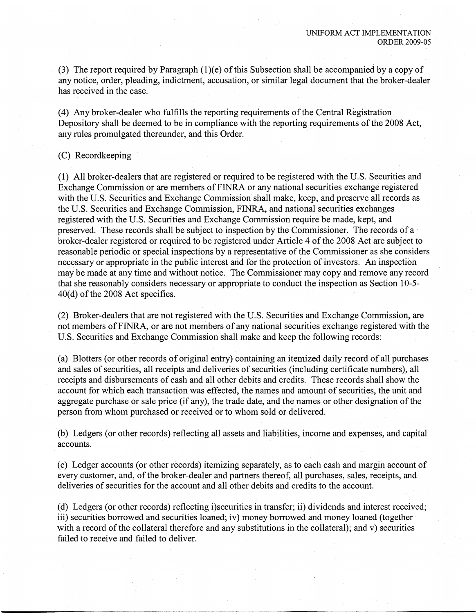(3) The report required by Paragraph  $(1)(e)$  of this Subsection shall be accompanied by a copy of any notice, order, pleading, indictment, accusation, or similar legal document that the broker-dealer has received in the case.

(4) Any broker-dealer who fulfills the reporting requirements of the Central Registration Depository shall be deemed to be in compliance with the reporting requirements of the 2008 Act, any rules promulgated thereunder, and this Order.

#### (C) Recordkeeping

(1) All broker-dealers that are registered or required to be registered with the U.S. Securities and Exchange Commission or are members of FINRA or any national securities exchange registered with the U.S. Securities and Exchange Commission shall make, keep, and preserve all records as the U.S. Securities and Exchange Commission, FINRA, and national securities exchanges registered with the U.S. Securities and Exchange Commission require be made, kept, and preserved. These records shall be subject to inspection by the Commissioner. The records of a broker-dealer registered or required to be registered under Article 4 of the 2008 Act are subject to reasonable periodic or special inspections by a representative of the Commissioner as she considers necessary or appropriate in the public interest and for the protection of investors. An inspection may be made at any time and without notice. The Commissioner may copy and remove any record that she reasonably considers necessary or appropriate to conduct the inspection as Section 10-5  $40(d)$  of the 2008 Act specifies.

(2) Broker-dealers that are not registered with the U.S. Securities and Exchange Commission, are not members of FINRA, or are not members of any national securities exchange registered with the U.S. Securities and Exchange Commission shall make and keep the following records:

(a) Blotters (or other records of original entry) containing an itemized daily record of all purchases and sales of securities, all receipts and deliveries of securities (including certificate numbers), all receipts and disbursements of cash and all other debits and credits. These records shall show the account for which each transaction was effected, the names and amount of securities, the unit and aggregate purchase or sale price (if any), the trade date, and the names or other designation of the person from whom purchased or received or to whom sold or delivered.

(b) Ledgers (or other records) reflecting all assets and liabilities, income and expenses, and capital accounts.

(c) Ledger accounts (or other records) itemizing separately, as to each cash and margin account of every customer, and, of the broker-dealer and partners thereof, all purchases, sales, receipts, and deliveries of securities for the account and all other debits and credits to the account.

(d) Ledgers (or other records) reflecting i)securities in transfer; ii) dividends and interest received; iii) securities borrowed and securities loaned; iv) money borrowed and money loaned (together with a record of the collateral therefore and any substitutions in the collateral); and v) securities failed to receive and failed to deliver.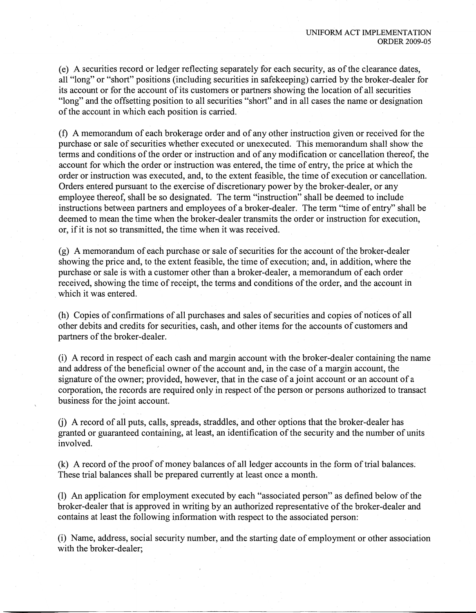(e) A securities record or ledger reflecting separately for each security, as ofthe clearance dates, all "long" or "short" positions (including securities in safekeeping) carried by the broker-dealer for its account or for the account of its customers or partners showing the location of all securities "long" and the offsetting position to all securities "short" and in all cases the name or designation of the account in which each position is carried.

 $(f)$  A memorandum of each brokerage order and of any other instruction given or received for the purchase or sale of securities whether executed or unexecuted. This memorandum shall show the terms and conditions of the order or instruction and of any modification or cancellation thereof, the account for which the order or instruction was entered, the time of entry, the price at which the order or instruction was executed, and, to the extent feasible, the time of execution or cancellation. Orders entered pursuant to the exercise of discretionary power by the broker-dealer, or any employee thereof, shall be so designated. The term "instruction" shall be deemed to include instructions between partners and employees of a broker-dealer. The term "time of entry" shall be deemed to mean the time when the broker-dealer transmits the order or instruction for execution, or, if it is not so transmitted, the time when it was received.

(g) A memorandum of each purchase or sale of securities for the account of the broker-dealer showing the price and, to the extent feasible, the time of execution; and, in addition, where the purchase or sale is with a customer other than a broker-dealer, a memorandum of each order received, showing the time of receipt, the terms and conditions of the order, and the account in which it was entered.

(h) Copies of confirmations of all purchases and sales of securities and copies of notices of all other debits and credits for securities, cash, and other items for the accounts of customers and partners of the broker-dealer.

(i) A record in. respect of each cash and margin account with the broker-dealer containing the name and address of the beneficial owner of the account and, in the case of a margin account, the signature of the owner; provided, however, that in the case of a joint account or an account of a corporation, the records are required only in respect of the person or persons authorized to transact business for the joint account.

(j) A record of all puts, calls, spreads, straddles, and other options that the broker-dealer has granted or guaranteed containing, at least, an identification of the security and the number of units involved.

 $(k)$  A record of the proof of money balances of all ledger accounts in the form of trial balances. These trial balances shall be prepared currently at least once a month.

(1) An application for employment executed by each "associated person" as defined below ofthe broker-dealer that is approved in writing by an authorized representative of the broker-dealer and contains at least the following information with respect to the associated person:

(i) Name, address, social security number, and the starting date of employment or other association with the broker-dealer;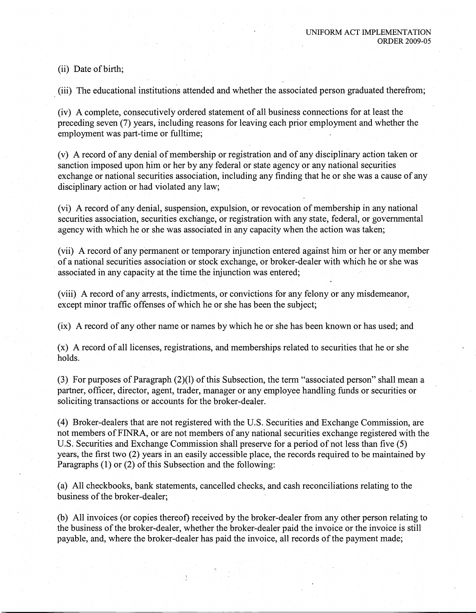(ii) Date of birth;

(iii) The educational institutions attended and whether the associated person graduated therefrom;

(iv) A complete, consecutively ordered statement of all business connections for at least the preceding seven (7) years, including reasons for leaving each prior employment and whether the employment was part-time or fulltime;

(v) A record of any denial of membership or registration and of any disciplinary action taken or sanction imposed upon him or her by any federal or state agency or any national securities exchange or national securities association, including any finding that he or she was a cause of any disciplinary action or had violated any law;

(vi) A record of any denial, suspension, expulsion, or revocation of membership in any national securities association, securities exchange, or registration with any state, federal, or governmental .agency with which he or she was associated in any capacity when the action was taken;

(vii) A'record of any permanent or temporary injunction entered against him or her or any member of a national securities association or stock exchange, or broker-dealer with which he or she was associated in any capacity at the time the injunction was entered;

(viii) A record of any arrests, indictments, or convictions for any felony or any misdemeanor, except minor traffic offenses of which he or she has been the subject;

(ix) A record of any other name or names by which he or she has been known or has used; and

(x) A record of all licenses, registrations, and memberships related to securities that he or she holds.

(3). For purposes of Paragraph  $(2)(1)$  of this Subsection, the term "associated person" shall mean a partner, officer, director, agent, trader, manager or any employee handling funds or securities or soliciting transactions or accounts for the broker-dealer.

(4) Broker-dealers that are not registered with the U.S. Securities and Exchange Commission, are not members of FINRA, or are not members of any national securities exchange registered with the U.S. Securities and Exchange Commission shall preserve for a period of not less than five (5) years, the first two (2) years in an easily accessible place, the records required to be maintained by Paragraphs  $(1)$  or  $(2)$  of this Subsection and the following:

(a) All checkbooks, bank statements, cancelled checks, and cash reconciliations relating to the business of the broker-dealer;

,(b) All invoices (or. copies thereof) received by the broker-dealer from any other person relating to the business of the broker-dealer, whether the broker-dealer paid the invoice or the invoice is still payable, and, where the broker-dealer has paid the invoice, all records of the payment made;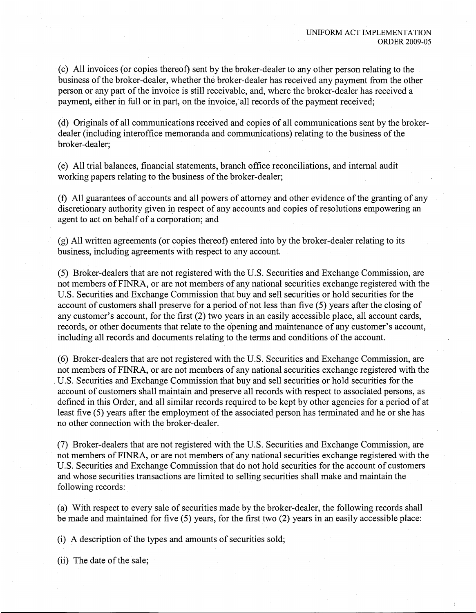.(C) All invoices (or copies thereof) sent by the broker-dealer to any other person relating to the business of the broker-dealer, whether the broker-dealer has received any payment from the other person or any part of the invoice is still receivable, and, where the broker-dealer has received a payment, either in full or in part, on the invoice, all records of the payment received;

(d) Originals of all communications received and copies of all communications sent by the brokerdealer (including interoffice memoranda and communications) relating to the business of the broker-dealer;

(e) All trial balances, financial-statements, branch office reconciliations, and internal audit working papers relating to the business of the broker-dealer;

(f) All guarantees of accounts and all powers of attorney and other evidence of the granting of any discretionary authority given in respect of any accounts and copies of resolutions empowering an agent to act on behalf of a corporation; and

 $(g)$  All written agreements (or copies thereof) entered into by the broker-dealer relating to its business, including agreements with respect to any account.

(5) Broker-dealers that are not registered with the U.S. Securities and Exchange Commission, are not members of FINRA, or are not members of any national securities exchange registered with the .U.S. Securities and Exchange Commission that buy and sell securities or hold securities for the account of customers shall preserve for a period of not less than five (5) years after the closing of any customer's account, for the first (2) two years in an easily accessible place, all account cards, records, or other documents that relate to the opening and maintenance of any customer's account, including all records and documents relating to the terms and conditions of the account.

(6) Broker-dealers that are not registered with the U.S. Securities and Exchange Commission, are not members of FINRA, or are not members of any national securities exchange registered with the U.S. Securities and Exchange Commission that buy and sell securities or hold securities for the account of customers shall maintain and preserve all records with respect to associated persons, as defined in this Order, and all similar records required to be kept by other agencies for a period of at least five (5) years after the employment of the associated person has terminated and he or she has no other connection with the broker-dealer.

(7) Broker-dealers that are not registered with the U.S. Securities and Exchange Commission, are not members ofFINRA, or are not members of any national securities exchange registered with the U.S. Securities and Exchange Commission that do not hold securities for the account of customers and whose securities transactions are limited to selling securities shall make and maintain the following records:

(a) With respect to every sale of securities made by the broker-dealer, the following records shall be made and maintained for five (5) years, for the first two (2) years in an easily accessible place:

 $(i)$  A description of the types and amounts of securities sold;

(ii) The date of the sale;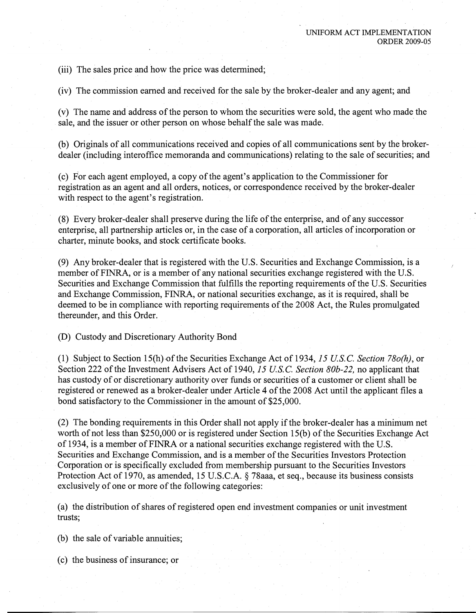(iii) The sales price and how the price was determined;

(iv) The commission earned and received for the sale by the broker-dealer and any agent; and

(v) The name and address ofthe person to whom the securities were sold, the agent who made the sale, and the issuer or other person on whose behalf the sale was made.

(b) Originals of all communications received and copies of all communications sent by the brokerdealer (including interoffice memoranda and communications) relating to the sale of securities; and

(c) For each agent employed, a copy of the agent's application to the Commissioner for registration as an agent and all orders, notices, or correspondence received by the broker-dealer with respect to the agent's registration.

(8) Every broker-dealer shall preserve during the life of the enterprise, and of any successor enterprise, all partnership articles or, in the case of a corporation, all articles of incorporation or charter, minute books, and stock certificate books.

(9) Any broker-dealer that is registered with the U.S. Securities and Exchange Commission, is a member of FINRA, or is a member of any national securities exchange registered with the U.S. Securities and Exchange Commission that fulfills the reporting requirements of the U.S. Securities and Exchange Commission, FINRA, or national securities exchange, as it is required, shall be deemed to be in compliance with reporting requirements of the 2008 Act, the Rules promulgated thereunder, and this Order.

(D) Custody and Discretionary Authority Bond

(1) Subject to Section 15(h),oftheSecurities Exchange Act of 1934, *15US.C. Section 780(h),* or Section 222 of the Investment Advisers Act of 1940, 15 U.S.C. *Section 80b-22*, no applicant that has custody of or discretionary authority over funds or securities of a customer or client shall be registered or renewed as a broker-dealer under Article 4 of the 2008 Act until the applicant files a bond satisfactory to the Commissioner in the amount of \$25,000.

 $(2)$  The bonding requirements in this Order shall not apply if the broker-dealer has a minimum net worth of not less than  $$250,000$  or is registered under Section 15(b) of the Securities Exchange Act of 1934, is a member ofFINRA or a national securities exchange registered with the U.S. Securities and Exchange Commission, and is a member of the Securities Investors Protection Corporation or is specifically excluded from membership pursuant to the Securities Investors Protection Act of 1970, as amended, 15 U.S.C.A. § 78aaa, et seq., because its business consists exclusively of one or more of the following categories:

(a) the distribution of shares of registered open end investment companies or unit investment trusts;

(b) the sale of variable annuities;

(c) the business of insurance; or